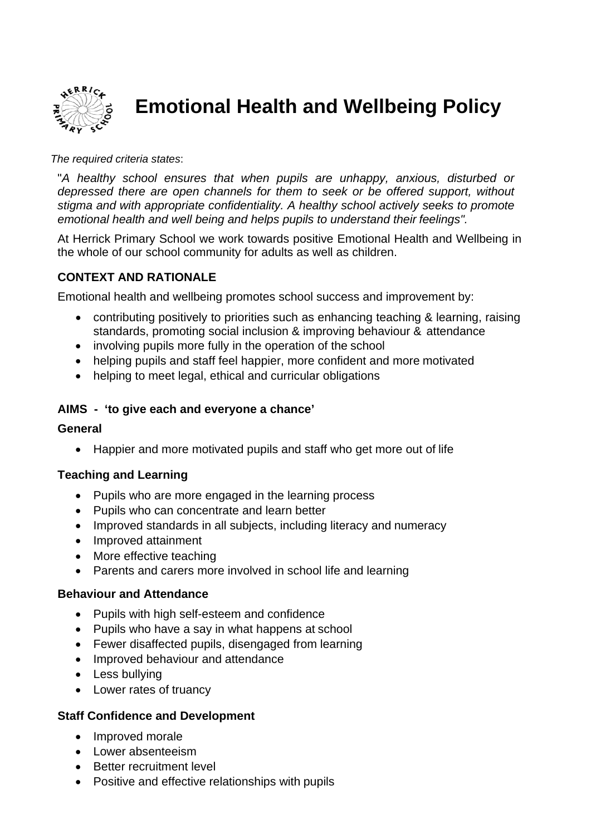

# **Emotional Health and Wellbeing Policy**

#### *e required criteria states*: *Th*

"A healthy school ensures that when pupils are unhappy, anxious, disturbed or *depressed there are open channels for them to seek or be offered support, without stigma and with appropriate confidentiality. A healthy school actively seeks to promote emotional health and well being and helps pupils to understand their feelings".* 

At Herrick Primary School we work towards positive Emotional Health and Wellbeing in the whole of our school community for adults as well as children.

## **CONTEXT AND RATIONALE**

Emotional health and wellbeing promotes school success and improvement by:

- contributing positively to priorities such as enhancing teaching & learning, raising standards, promoting social inclusion & improving behaviour & attendance
- involving pupils more fully in the operation of the school
- helping pupils and staff feel happier, more confident and more motivated
- helping to meet legal, ethical and curricular obligations

#### **AIMS - 'to give each and everyone a chance'**

#### **General**

• Happier and more motivated pupils and staff who get more out of life

#### **Teaching and Learning**

- Pupils who are more engaged in the learning process
- Pupils who can concentrate and learn better
- Improved standards in all subjects, including literacy and numeracy
- Improved attainment
- More effective teaching
- Parents and carers more involved in school life and learning

#### **Behaviour and Attendance**

- Pupils with high self-esteem and confidence
- Pupils who have a say in what happens at school
- Fewer disaffected pupils, disengaged from learning
- Improved behaviour and attendance
- Less bullying
- Lower rates of truancy

#### **Staff Confidence and Development**

- Improved morale
- Lower absenteeism
- Better recruitment level
- Positive and effective relationships with pupils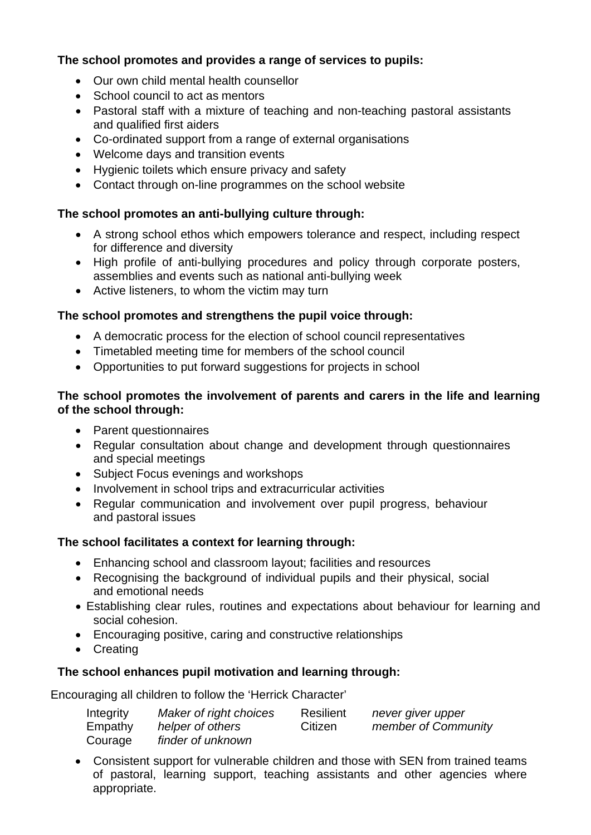## The school promotes and provides a range of services to pupils:

- Our own child mental health counsellor
- School council to act as mentors
- Pastoral staff with a mixture of teaching and non-teaching pastoral assistants and qualified first aiders
- Co-ordinated support from a range of external organisations
- Welcome days and transition events
- Hygienic toilets which ensure privacy and safety
- Contact through on-line programmes on the school website

## **The school promotes an anti-bullying culture through:**

- A strong school ethos which empowers tolerance and respect, including respect for difference and diversity
- High profile of anti-bullying procedures and policy through corporate posters, assemblies and events such as national anti-bullying week
- Active listeners, to whom the victim may turn

## The school promotes and strengthens the pupil voice through:

- A democratic process for the election of school council representatives
- Timetabled meeting time for members of the school council
- Opportunities to put forward suggestions for projects in school

## The school promotes the involvement of parents and carers in the life and learning **of the school through:**

- Parent questionnaires
- Regular consultation about change and development through questionnaires and special meetings
- Subject Focus evenings and workshops
- Involvement in school trips and extracurricular activities
- Regular communication and involvement over pupil progress, behaviour and pastoral issues

## **The school facilitates a context for learning through:**

- Enhancing school and classroom layout; facilities and resources
- Recognising the background of individual pupils and their physical, social and emotional needs
- Establishing clear rules, routines and expectations about behaviour for learning and social cohesion.
- Encouraging positive, caring and constructive relationships
- Creating

## The school enhances pupil motivation and learning through:

E ncouraging all children to follow the 'Herrick Character'

| Integrity | Maker of right choices | Resilient | never giver upper   |
|-----------|------------------------|-----------|---------------------|
| Empathy   | helper of others       | Citizen   | member of Community |
| Courage   | finder of unknown      |           |                     |

• Consistent support for vulnerable children and those with SEN from trained teams of pastoral, learning support, teaching assistants and other agencies where appropriate.